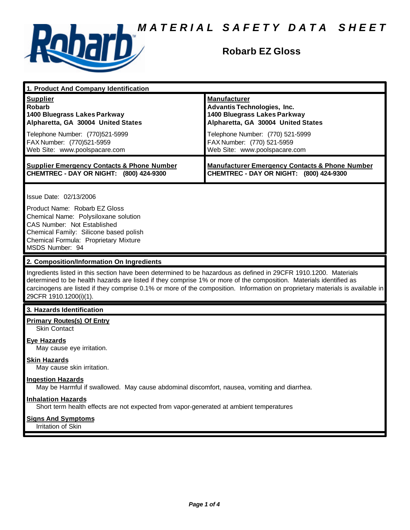

# **Robarb EZ Gloss**

| 1. Product And Company Identification                                                                                                                                                                                                                                                                                                                                                             |                                                                                                                                 |
|---------------------------------------------------------------------------------------------------------------------------------------------------------------------------------------------------------------------------------------------------------------------------------------------------------------------------------------------------------------------------------------------------|---------------------------------------------------------------------------------------------------------------------------------|
| <b>Supplier</b><br><b>Robarb</b><br>1400 Bluegrass Lakes Parkway<br>Alpharetta, GA 30004 United States                                                                                                                                                                                                                                                                                            | <b>Manufacturer</b><br><b>Advantis Technologies, Inc.</b><br>1400 Bluegrass Lakes Parkway<br>Alpharetta, GA 30004 United States |
| Telephone Number: (770)521-5999<br>FAX Number: (770)521-5959<br>Web Site: www.poolspacare.com                                                                                                                                                                                                                                                                                                     | Telephone Number: (770) 521-5999<br>FAX Number: (770) 521-5959<br>Web Site: www.poolspacare.com                                 |
| <b>Supplier Emergency Contacts &amp; Phone Number</b><br>CHEMTREC - DAY OR NIGHT: (800) 424-9300                                                                                                                                                                                                                                                                                                  | <b>Manufacturer Emergency Contacts &amp; Phone Number</b><br>CHEMTREC - DAY OR NIGHT: (800) 424-9300                            |
| Issue Date: 02/13/2006<br>Product Name: Robarb EZ Gloss<br>Chemical Name: Polysiloxane solution<br>CAS Number: Not Established<br>Chemical Family: Silicone based polish<br>Chemical Formula: Proprietary Mixture<br>MSDS Number: 94                                                                                                                                                              |                                                                                                                                 |
| 2. Composition/Information On Ingredients                                                                                                                                                                                                                                                                                                                                                         |                                                                                                                                 |
| Ingredients listed in this section have been determined to be hazardous as defined in 29CFR 1910.1200. Materials<br>determined to be health hazards are listed if they comprise 1% or more of the composition. Materials identified as<br>carcinogens are listed if they comprise 0.1% or more of the composition. Information on proprietary materials is available in<br>29CFR 1910.1200(i)(1). |                                                                                                                                 |
| 3. Hazards Identification                                                                                                                                                                                                                                                                                                                                                                         |                                                                                                                                 |
| <b>Primary Routes(s) Of Entry</b><br><b>Skin Contact</b>                                                                                                                                                                                                                                                                                                                                          |                                                                                                                                 |
| <b>Eye Hazards</b><br>May cause eye irritation.                                                                                                                                                                                                                                                                                                                                                   |                                                                                                                                 |
| <b>Skin Hazards</b><br>May cause skin irritation.                                                                                                                                                                                                                                                                                                                                                 |                                                                                                                                 |
| <b>Ingestion Hazards</b><br>May be Harmful if swallowed. May cause abdominal discomfort, nausea, vomiting and diarrhea.                                                                                                                                                                                                                                                                           |                                                                                                                                 |
| <b>Inhalation Hazards</b><br>Short term health effects are not expected from vapor-generated at ambient temperatures                                                                                                                                                                                                                                                                              |                                                                                                                                 |
| <b>Signs And Symptoms</b><br>Irritation of Skin                                                                                                                                                                                                                                                                                                                                                   |                                                                                                                                 |
|                                                                                                                                                                                                                                                                                                                                                                                                   |                                                                                                                                 |
|                                                                                                                                                                                                                                                                                                                                                                                                   |                                                                                                                                 |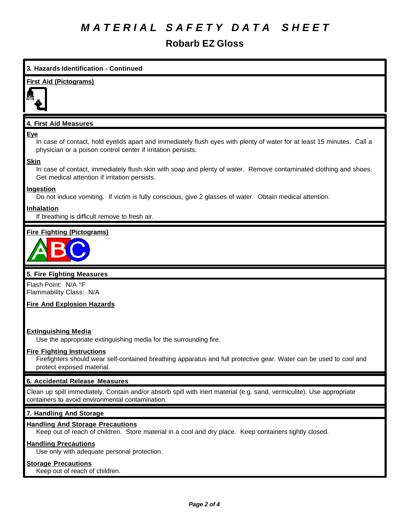# **Robarb EZ Gloss**

# **3. Hazards Identification - Continued**

## **First Aid (Pictograms)**



# **4. First Aid Measures**

### **Eye**

In case of contact, hold eyelids apart and immediately flush eyes with plenty of water for at least 15 minutes. Call a physician or a poison control center if irritation persists.

## **Skin**

In case of contact, immediately flush skin with soap and plenty of water. Remove contaminated clothing and shoes. Get medical attention if irritation persists.

### **Ingestion**

Do not induce vomiting. If victim is fully conscious, give 2 glasses of water. Obtain medical attention.

### **Inhalation**

If breathing is difficult remove to fresh air.

## **Fire Fighting (Pictograms)**



## **5. Fire Fighting Measures**

Flash Point: N/A °F Flammability Class: N/A

# **Fire And Explosion Hazards**

### **Extinguishing Media**

Use the appropriate extinguishing media for the surrounding fire.

### **Fire Fighting Instructions**

Firefighters should wear self-contained breathing apparatus and full protective gear. Water can be used to cool and protect exposed material.

### **6. Accidental Release Measures**

Clean up spill immediately. Contain and/or absorb spill with inert material (e.g. sand, vermiculite). Use appropriate containers to avoid environmental contamination.

### **7. Handling And Storage**

### **Handling And Storage Precautions**

Keep out of reach of children. Store material in a cool and dry place. Keep containers tightly closed.

### **Handling Precautions**

Use only with adequate personal protection.

# **Storage Precautions**

Keep out of reach of children.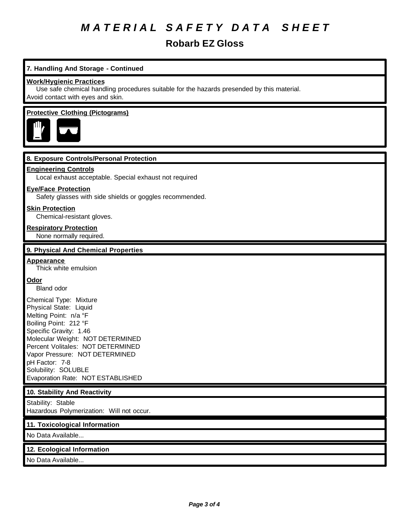# **Robarb EZ Gloss**

# **7. Handling And Storage - Continued**

### **Work/Hygienic Practices**

Use safe chemical handling procedures suitable for the hazards presended by this material. Avoid contact with eyes and skin.

### **Protective Clothing (Pictograms)**



### **8. Exposure Controls/Personal Protection**

### **Engineering Controls**

Local exhaust acceptable. Special exhaust not required

#### **Eye/Face Protection**

Safety glasses with side shields or goggles recommended.

#### **Skin Protection**

Chemical-resistant gloves.

### **Respiratory Protection**

None normally required.

## **9. Physical And Chemical Properties**

### **Appearance**

Thick white emulsion

### **Odor**

Bland odor

Chemical Type: Mixture Physical State: Liquid Melting Point: n/a °F Boiling Point: 212 °F Specific Gravity: 1.46 Molecular Weight: NOT DETERMINED Percent Volitales: NOT DETERMINED Vapor Pressure: NOT DETERMINED pH Factor: 7-8 Solubility: SOLUBLE Evaporation Rate: NOT ESTABLISHED

### **10. Stability And Reactivity**

Stability: Stable Hazardous Polymerization: Will not occur.

#### **11. Toxicological Information**

No Data Available...

### **12. Ecological Information**

No Data Available...